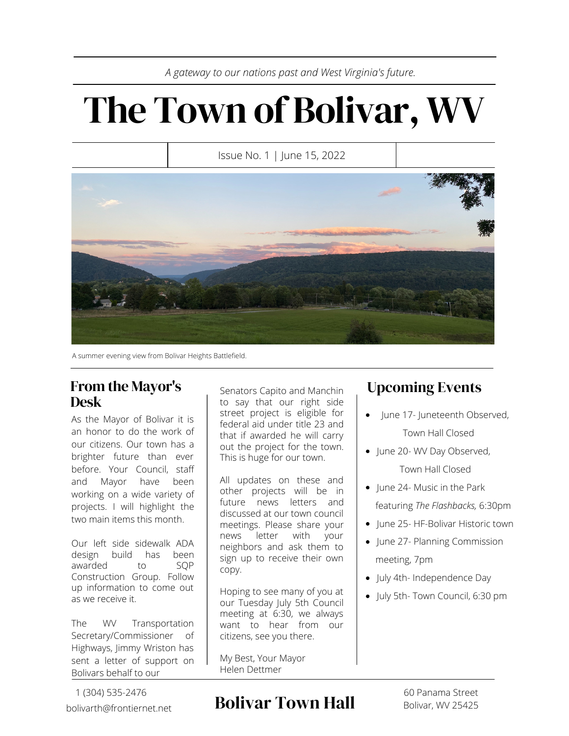*A gateway to our nations past and West Virginia's future.*

# The Town of Bolivar, WV

Issue No. 1 | June 15, 2022



A summer evening view from Bolivar Heights Battlefield.

### From the Mayor's Desk

As the Mayor of Bolivar it is an honor to do the work of our citizens. Our town has a brighter future than ever before. Your Council, staff and Mayor have been working on a wide variety of projects. I will highlight the two main items this month.

Our left side sidewalk ADA design build has been<br>awarded to SOP awarded to Construction Group. Follow up information to come out as we receive it.

The WV Transportation Secretary/Commissioner of Highways, Jimmy Wriston has sent a letter of support on Bolivars behalf to our

1 (304) 535-2476 bolivarth@frontiernet.net Senators Capito and Manchin to say that our right side street project is eligible for federal aid under title 23 and that if awarded he will carry out the project for the town. This is huge for our town.

All updates on these and other projects will be in future news letters and discussed at our town council meetings. Please share your news letter with your neighbors and ask them to sign up to receive their own copy.

Hoping to see many of you at our Tuesday July 5th Council meeting at 6:30, we always want to hear from our citizens, see you there.

My Best, Your Mayor Helen Dettmer

## Upcoming Events

- June 17- Juneteenth Observed, Town Hall Closed
- June 20- WV Day Observed, Town Hall Closed
- June 24- Music in the Park featuring *The Flashbacks,* 6:30pm
- June 25- HF-Bolivar Historic town
- June 27- Planning Commission meeting, 7pm
- July 4th- Independence Day
- July 5th- Town Council, 6:30 pm

## Bolivar Town Hall